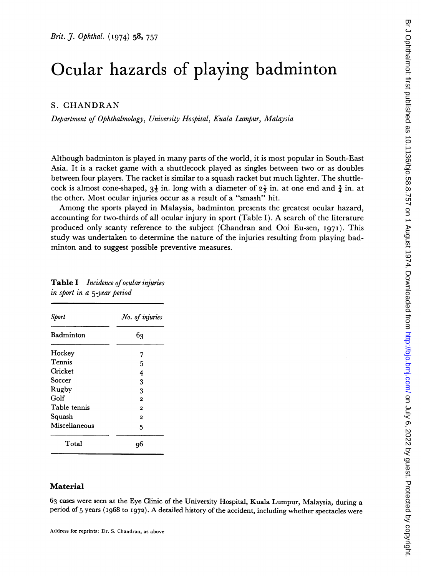# Ocular hazards of playing badminton

### S. CHANDRAN

Department of Ophthalmology, University Hospital, Kuala Lumpur, Malaysia

Although badminton is played in many parts of the world, it is most popular in South-East Asia. It is a racket game with a shuttlecock played as singles between two or as doubles between four players. The racket is similar to a squash racket but much lighter. The shuttlecock is almost cone-shaped,  $3\frac{1}{2}$  in. long with a diameter of  $2\frac{1}{2}$  in. at one end and  $\frac{3}{2}$  in. at the other. Most ocular injuries occur as a result of a "smash" hit.

Among the sports played in Malaysia, badminton presents the greatest ocular hazard, accounting for two-thirds of all ocular injury in sport (Table I). A search of the literature produced only scanty reference to the subject (Chandran and Ooi Eu-sen, I97I). This study was undertaken to determine the nature of the injuries resulting from playing badminton and to suggest possible preventive measures.

| Sport         | No. of injuries |
|---------------|-----------------|
| Badminton     | 63              |
| Hockey        | 7               |
| Tennis        | 5               |
| Cricket       | 4               |
| Soccer        | 3               |
| Rugby         | 3               |
| Golf          | $\mathbf 2$     |
| Table tennis  | $\mathbf{2}$    |
| Squash        | $\mathbf{2}$    |
| Miscellaneous | 5               |
| Total         |                 |

| <b>Table I</b> Incidence of ocular injuries |  |
|---------------------------------------------|--|
| in sport in a 5-year period                 |  |

### Material

63 cases were seen at the Eye Clinic of the University Hospital, Kuala Lumpur, Malaysia, during a period of <sup>5</sup> years (I968 to 1972). A detailed history of the accident, including whether spectacles were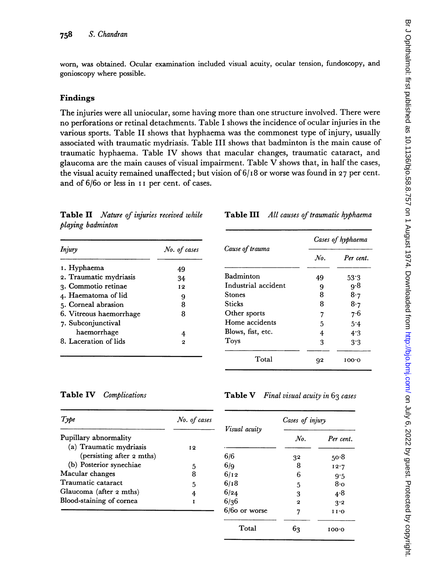worn, was obtained. Ocular examination included visual acuity, ocular tension, fundoscopy, and gonioscopy where possible.

## Findings

The injuries were all uniocular, some having more than one structure involved. There were no perforations or retinal detachments. Table <sup>I</sup> shows the incidence of ocular injuries in the various sports. Table II shows that hyphaema was the commonest type of injury, usually associated with traumatic mydriasis. Table III shows that badminton is the main cause of traumatic hyphaema. Table IV shows that macular changes, traumatic cataract, and glaucoma are the main causes of visual impairment. Table V shows that, in half the cases, the visual acuity remained unaffected; but vision of  $6/18$  or worse was found in 27 per cent. and of 6/60 or less in II per cent. of cases.

Table II Nature of injuries received while playing badminton

| Injury                  | No. of cases |
|-------------------------|--------------|
| 1. Hyphaema             | 49           |
| 2. Traumatic mydriasis  | 34           |
| 3. Commotio retinae     | 12           |
| 4. Haematoma of lid     | 9            |
| 5. Corneal abrasion     | 8            |
| 6. Vitreous haemorrhage | 8            |
| 7. Subconjunctival      |              |
| haemorrhage             | 4            |
| 8. Laceration of lids   | 2            |

### Table III All causes of traumatic hyphaema

|                     | Cases of hyphaema |           |  |
|---------------------|-------------------|-----------|--|
| Cause of trauma     | $N_{0}$           | Per cent. |  |
| Badminton           | 49                | 53.3      |  |
| Industrial accident | 9                 | q∙8       |  |
| Stones              | 8                 | 8.7       |  |
| Sticks              | 8                 | 8.7       |  |
| Other sports        | 7                 | 7.6       |  |
| Home accidents      | 5                 | 5.4       |  |
| Blows, fist, etc.   | 4                 | 4.3       |  |
| Toys                | 3                 | 3.3       |  |
| Total               | q2                | 100.O     |  |

Table IV Complications

### Table V Final visual acuity in  $63$  cases

| Type                                             | No. of cases | Visual acuity   | Cases of injury |           |
|--------------------------------------------------|--------------|-----------------|-----------------|-----------|
| Pupillary abnormality<br>(a) Traumatic mydriasis | 12           |                 | $N_{0}$         | Per cent. |
| (persisting after 2 mths)                        |              | 6/6             | 32              | 50.8      |
| (b) Posterior synechiae                          | 5            | 6/q             | 8               | 12.7      |
| Macular changes                                  | 8            | 6/12            | 6               | 9.5       |
| Traumatic cataract                               | 5            | 6/18            | 5               | 8·o       |
| Glaucoma (after 2 mths)                          |              | 6/24            | 3               | 4.8       |
| Blood-staining of cornea                         |              | 6/36            | 2               | 3.2       |
|                                                  |              | $6/60$ or worse | 7               | 1 I .O    |
|                                                  |              | Total           | 63              | 100.0     |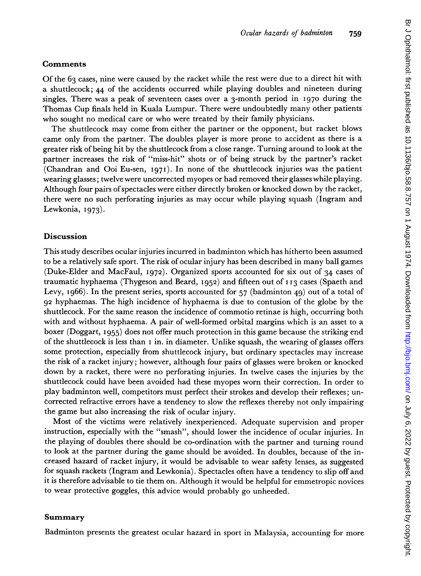# Comments

Of the 63 cases, nine were caused by the racket while the rest were due to a direct hit with a shuttlecock; 44 of the accidents occurred while playing doubles and nineteen during singles. There was a peak of seventeen cases over a 3-month period in I970 during the Thomas Cup finals held in Kuala Lumpur. There were undoubtedly many other patients who sought no medical care or who were treated by their family physicians.

The shuttlecock may come from either the partner or the opponent, but racket blows came only from the partner. The doubles player is more prone to accident as there is a greater risk of being hit by the shuttlecock from a close range. Turning around to look at the partner increases the risk of "miss-hit" shots or of being struck by the partner's racket (Chandran and Ooi Eu-sen, 1971). In none of the shuttlecock injuries was the patient wearing glasses; twelve were uncorrected myopes or had removed their glasses while playing. Although four pairs ofspectacles were either directly broken or knocked down by the racket, there were no such perforating injuries as may occur while playing squash (Ingram and Lewkonia, I973).

# Discussion

This study describes ocular injuries incurred in badminton which has hitherto been assumed to be a relatively safe sport. The risk of ocular injury has been described in many ball games (Duke-Elder and MacFaul, 1972). Organized sports accounted for six out of 34 cases of traumatic hyphaema (Thygeson and Beard,  $1952$ ) and fifteen out of  $113$  cases (Spaeth and Levy, I966). In the present series, sports accounted for 57 (badminton 49) out of a total of 92 hyphaemas. The high incidence of hyphaema is due to contusion of the globe by the shuttlecock. For the same reason the incidence of commotio retinae is high, occurring both with and without hyphaema. A pair of well-formed orbital margins which is an asset to <sup>a</sup> boxer (Doggart, I955) does not offer much protection in this game because the striking end of the shuttlecock is less than  $I$  in. in diameter. Unlike squash, the wearing of glasses offers some protection, especially from shuttlecock injury, but ordinary spectacles may increase the risk of a racket injury; however, although four pairs of glasses were broken or knocked down by a racket, there were no perforating injuries. In twelve cases the injuries by the shuttlecock could have been avoided had these myopes worn their correction. In order to play badminton well, competitors must perfect their strokes and develop their reflexes; uncorrected refractive errors have a tendency to slow the reflexes thereby not only impairing the game but also increasing the risk of ocular injury.

Most of the victims were relatively inexperienced. Adequate supervision and proper instruction, especially with the "smash", should lower the incidence of ocular injuries. In the playing of doubles there should be co-ordination with the partner and turning round to look at the partner during the game should be avoided. In doubles, because of the increased hazard of racket injury, it would be advisable to wear safety lenses, as suggested for squash rackets (Ingram and Lewkonia). Spectacles often have a tendency to slip off and it is therefore advisable to tie them on. Although it would be helpful for emmetropic novices to wear protective goggles, this advice would probably go unheeded.

### Summary

Badminton presents the greatest ocular hazard in sport in Malaysia, accounting for more